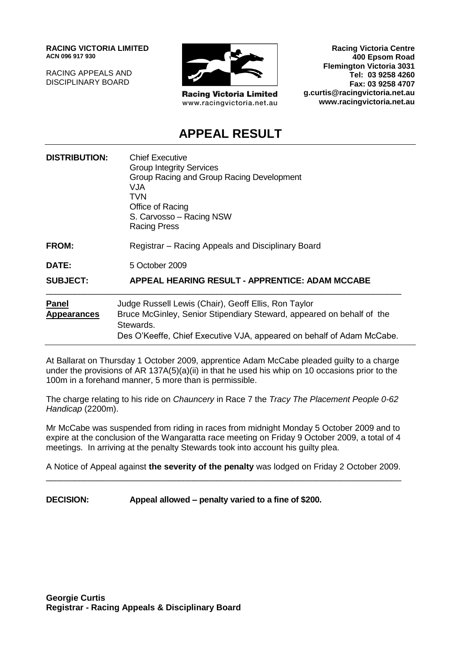**RACING VICTORIA LIMITED ACN 096 917 930**

RACING APPEALS AND DISCIPLINARY BOARD



**Racing Victoria Limited** www.racingvictoria.net.au

**Racing Victoria Centre 400 Epsom Road Flemington Victoria 3031 Tel: 03 9258 4260 Fax: 03 9258 4707 g.curtis@racingvictoria.net.au www.racingvictoria.net.au**

## **APPEAL RESULT**

| <b>DISTRIBUTION:</b>               | <b>Chief Executive</b><br><b>Group Integrity Services</b><br>Group Racing and Group Racing Development<br>VJA.<br>TVN<br>Office of Racing<br>S. Carvosso - Racing NSW<br><b>Racing Press</b>                        |
|------------------------------------|---------------------------------------------------------------------------------------------------------------------------------------------------------------------------------------------------------------------|
| <b>FROM:</b>                       | Registrar – Racing Appeals and Disciplinary Board                                                                                                                                                                   |
| DATE:                              | 5 October 2009                                                                                                                                                                                                      |
| <b>SUBJECT:</b>                    | <b>APPEAL HEARING RESULT - APPRENTICE: ADAM MCCABE</b>                                                                                                                                                              |
| <b>Panel</b><br><b>Appearances</b> | Judge Russell Lewis (Chair), Geoff Ellis, Ron Taylor<br>Bruce McGinley, Senior Stipendiary Steward, appeared on behalf of the<br>Stewards.<br>Des O'Keeffe, Chief Executive VJA, appeared on behalf of Adam McCabe. |

At Ballarat on Thursday 1 October 2009, apprentice Adam McCabe pleaded guilty to a charge under the provisions of AR 137A(5)(a)(ii) in that he used his whip on 10 occasions prior to the 100m in a forehand manner, 5 more than is permissible.

The charge relating to his ride on *Chauncery* in Race 7 the *Tracy The Placement People 0-62 Handicap* (2200m).

Mr McCabe was suspended from riding in races from midnight Monday 5 October 2009 and to expire at the conclusion of the Wangaratta race meeting on Friday 9 October 2009, a total of 4 meetings. In arriving at the penalty Stewards took into account his guilty plea.

A Notice of Appeal against **the severity of the penalty** was lodged on Friday 2 October 2009. \_\_\_\_\_\_\_\_\_\_\_\_\_\_\_\_\_\_\_\_\_\_\_\_\_\_\_\_\_\_\_\_\_\_\_\_\_\_\_\_\_\_\_\_\_\_\_\_\_\_\_\_\_\_\_\_\_\_\_\_\_\_\_\_\_\_\_\_\_\_\_\_\_\_\_

**DECISION: Appeal allowed – penalty varied to a fine of \$200.**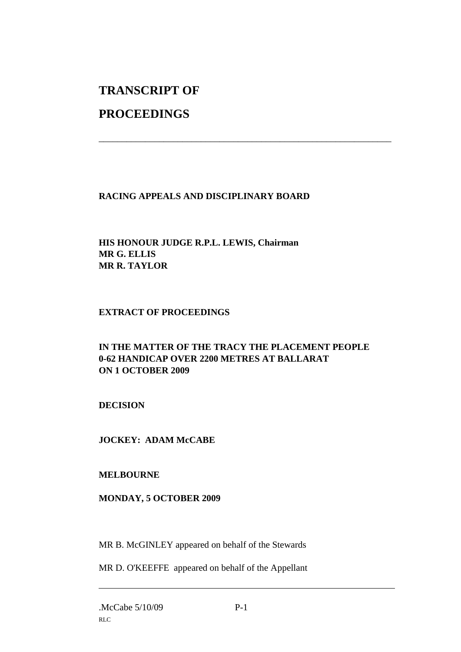# **TRANSCRIPT OF**

## **PROCEEDINGS**

### **RACING APPEALS AND DISCIPLINARY BOARD**

\_\_\_\_\_\_\_\_\_\_\_\_\_\_\_\_\_\_\_\_\_\_\_\_\_\_\_\_\_\_\_\_\_\_\_\_\_\_\_\_\_\_\_\_\_\_\_\_\_\_\_\_\_\_\_\_\_\_\_\_\_\_\_

#### **HIS HONOUR JUDGE R.P.L. LEWIS, Chairman MR G. ELLIS MR R. TAYLOR**

#### **EXTRACT OF PROCEEDINGS**

#### **IN THE MATTER OF THE TRACY THE PLACEMENT PEOPLE 0-62 HANDICAP OVER 2200 METRES AT BALLARAT ON 1 OCTOBER 2009**

#### **DECISION**

#### **JOCKEY: ADAM McCABE**

#### **MELBOURNE**

#### **MONDAY, 5 OCTOBER 2009**

MR B. McGINLEY appeared on behalf of the Stewards

MR D. O'KEEFFE appeared on behalf of the Appellant